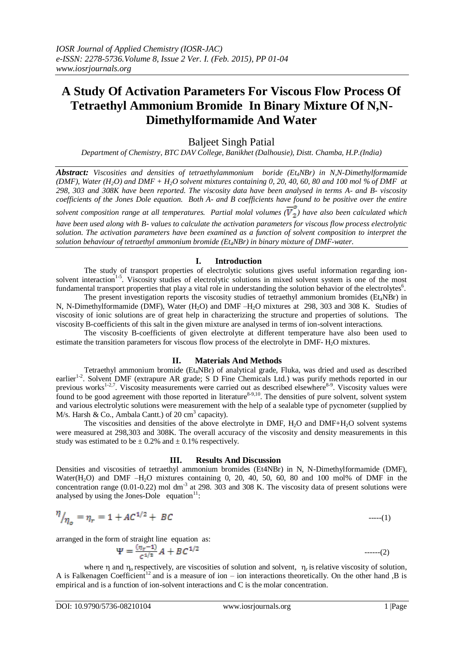# **A Study Of Activation Parameters For Viscous Flow Process Of Tetraethyl Ammonium Bromide In Binary Mixture Of N,N-Dimethylformamide And Water**

# Baljeet Singh Patial

*Department of Chemistry, BTC DAV College, Banikhet (Dalhousie), Distt. Chamba, H.P.(India)*

*Abstract: Viscosities and densities of tetraethylammonium boride (Et4NBr) in N,N-Dimethylformamide (DMF), Water (H<sub>2</sub>O)* and *DMF + H<sub>2</sub>O solvent mixtures containing 0, 20, 40, 60, 80 and 100 mol % of DMF at 298, 303 and 308K have been reported. The viscosity data have been analysed in terms A- and B- viscosity coefficients of the Jones Dole equation. Both A- and B coefficients have found to be positive over the entire* 

*solvent composition range at all temperatures. Partial molal volumes*  $(\overline{V}_2^o)$  have also been calculated which *have been used along with B- values to calculate the activation parameters for viscous flow process electrolytic solution. The activation parameters have been examined as a function of solvent composition to interpret the solution behaviour of tetraethyl ammonium bromide (Et4NBr) in binary mixture of DMF-water.*

### **I. Introduction**

The study of transport properties of electrolytic solutions gives useful information regarding ionsolvent interaction<sup>1-5</sup>. Viscosity studies of electrolytic solutions in mixed solvent system is one of the most fundamental transport properties that play a vital role in understanding the solution behavior of the electrolytes<sup>6</sup>.

The present investigation reports the viscosity studies of tetraethyl ammonium bromides ( $Et_4NBr$ ) in N, N-Dimethylformamide (DMF), Water (H<sub>2</sub>O) and DMF –H<sub>2</sub>O mixtures at 298, 303 and 308 K. Studies of viscosity of ionic solutions are of great help in characterizing the structure and properties of solutions. The viscosity B-coefficients of this salt in the given mixture are analysed in terms of ion-solvent interactions.

The viscosity B-coefficients of given electrolyte at different temperature have also been used to estimate the transition parameters for viscous flow process of the electrolyte in DMF- H<sub>2</sub>O mixtures.

## **II. Materials And Methods**

Tetraethyl ammonium bromide (Et<sub>4</sub>NBr) of analytical grade, Fluka, was dried and used as described earlier<sup>1-2</sup>. Solvent DMF (extrapure AR grade; S D Fine Chemicals Ltd.) was purify methods reported in our previous works<sup>1-2,7</sup>. Viscosity measurements were carried out as described elsewhere<sup>8-9</sup>. Viscosity values were found to be good agreement with those reported in literature $8-9,10$ . The densities of pure solvent, solvent system and various electrolytic solutions were measurement with the help of a sealable type of pycnometer (supplied by M/s. Harsh & Co., Ambala Cantt.) of 20  $\text{cm}^3$  capacity).

The viscosities and densities of the above electrolyte in DMF, H2O and DMF+H2O solvent systems were measured at 298,303 and 308K. The overall accuracy of the viscosity and density measurements in this study was estimated to be  $\pm$  0.2% and  $\pm$  0.1% respectively.

#### **III. Results And Discussion**

Densities and viscosities of tetraethyl ammonium bromides (Et4NBr) in N, N-Dimethylformamide (DMF), Water $(H_2O)$  and DMF –H<sub>2</sub>O mixtures containing 0, 20, 40, 50, 60, 80 and 100 mol% of DMF in the concentration range  $(0.01-0.22)$  mol dm<sup>-3</sup> at 298.  $303$  and 308 K. The viscosity data of present solutions were analysed by using the Jones-Dole equation $11$ :

$$
\eta_{\eta_o} = \eta_r = 1 + AC^{1/2} + BC \tag{1}
$$

arranged in the form of straight line equation as:

$$
\Psi = \frac{(\eta_r - 1)}{c^{1/2}} A + BC^{1/2} \qquad \qquad \dots \dots \tag{2}
$$

where  $\eta$  and  $\eta_0$  respectively, are viscosities of solution and solvent,  $\eta_r$  is relative viscosity of solution, A is Falkenagen Coefficient<sup>12</sup> and is a measure of ion – ion interactions theoretically. On the other hand ,B is empirical and is a function of ion-solvent interactions and C is the molar concentration.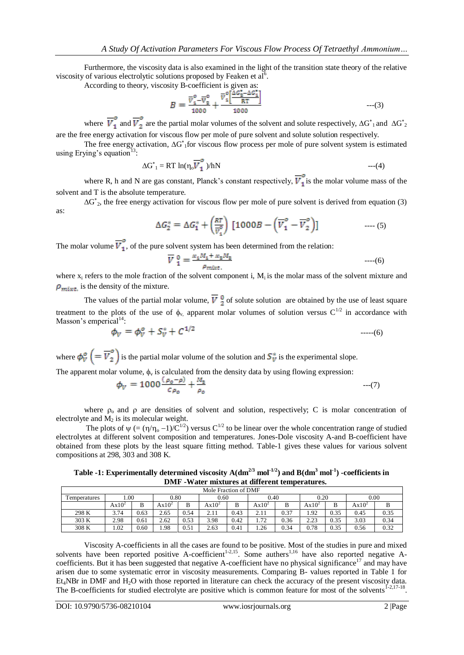Furthermore, the viscosity data is also examined in the light of the transition state theory of the relative viscosity of various electrolytic solutions proposed by Feaken et  $al<sup>6</sup>$ .

According to theory, viscosity B-coefficient is given as:

$$
B = \frac{\overline{v}_1^o - \overline{v}_2^o}{1000} + \frac{\overline{v}_1^o \left[ \frac{\Delta G_2 - \Delta G_1^o}{RT} \right]}{1000} \quad \text{---(3)}
$$

where  $\overline{V}_1$  and  $\overline{V}_2$  are the partial molar volumes of the solvent and solute respectively,  $\Delta G_{1}^*$  and  $\Delta G_{2}^*$ are the free energy activation for viscous flow per mole of pure solvent and solute solution respectively.

The free energy activation,  $\Delta G^*$  for viscous flow process per mole of pure solvent system is estimated using Erying's equation<sup>13</sup>:

$$
\Delta G^* = RT \ln(\eta_o \overline{V}_1^o)/hN \qquad \qquad ---(4)
$$

where R, h and N are gas constant, Planck's constant respectively,  $\overline{V}_1^o$  is the molar volume mass of the solvent and T is the absolute temperature.

 $\Delta G^*$ <sub>2</sub>, the free energy activation for viscous flow per mole of pure solvent is derived from equation (3) as:

$$
\Delta G_2^* = \Delta G_1^* + \left(\frac{RT}{\overline{v}_1^o}\right) \left[1000B - \left(\overline{V}_1^o - \overline{V}_2^o\right)\right] \qquad \qquad \dots (5)
$$

The molar volume  $\overline{V}_1^o$ , of the pure solvent system has been determined from the relation:

$$
\overline{V}^0_1 = \frac{x_1 M_1 + x_2 M_2}{\rho_{mixt}} \qquad \qquad \text{---}(6)
$$

where  $x_i$  refers to the mole fraction of the solvent component i,  $M_i$  is the molar mass of the solvent mixture and  $\rho_{\text{mirt}}$  is the density of the mixture.

The values of the partial molar volume,  $\overline{V}$ ,  $\frac{0}{2}$  of solute solution are obtained by the use of least square treatment to the plots of the use of  $\phi_v$ , apparent molar volumes of solution versus  $C^{1/2}$  in accordance with Masson's emperical $14$ :

$$
\phi_V = \phi_V^o + S_V^* + C^{1/2} \tag{6}
$$

where  $\phi_V^o = \overline{V}_2^o$  is the partial molar volume of the solution and  $S_V^*$  is the experimental slope.

The apparent molar volume,  $\phi_v$  is calculated from the density data by using flowing expression:

$$
\phi_V = 1000 \frac{( \rho_0 - \rho)}{c \rho_0} + \frac{M_2}{\rho_0} \tag{7}
$$

where  $\rho_0$  and  $\rho$  are densities of solvent and solution, respectively; C is molar concentration of electrolyte and  $M_2$  is its molecular weight.

The plots of  $\psi = (\eta/\eta_0 - 1)/C^{1/2}$  versus C<sup>1/2</sup> to be linear over the whole concentration range of studied electrolytes at different solvent composition and temperatures. Jones-Dole viscosity A-and B-coefficient have obtained from these plots by the least square fitting method. Table-1 gives these values for various solvent compositions at 298, 303 and 308 K.

**Table -1: Experimentally determined viscosity**  $A(dm^{2/3} mol^{1/2})$  **and**  $B(dm^3 mol^{-1})$  **-coefficients in DMF -Water mixtures at different temperatures.**

| Mole Fraction of DMF |          |      |          |      |          |      |          |      |          |      |          |      |
|----------------------|----------|------|----------|------|----------|------|----------|------|----------|------|----------|------|
| Temperatures         | 00.1     |      | 0.80     |      | 0.60     |      | 0.40     |      | 0.20     |      | 0.00     |      |
|                      | $Ax10^2$ |      | $Ax10^2$ |      | $Ax10^2$ | B    | $Ax10^2$ | В    | $Ax10^2$ | B    | $Ax10^2$ | D    |
| 298 K                | 3.74     | 0.63 | 2.65     | 0.54 | 2.11     | 0.43 | 2.11     | 0.37 | 1.92     | 0.35 | 0.45     | 0.35 |
| 303 K                | 2.98     | 0.61 | 2.62     | 0.53 | 3.98     | 0.42 | 1.72     | 0.36 | 2.23     | 0.35 | 3.03     | 0.34 |
| 308 K                | 1.02     | 0.60 | 1.98     | 0.51 | 2.63     | 0.41 | 1.26     | 0.34 | 0.78     | 0.35 | 0.56     | 0.32 |

Viscosity A-coefficients in all the cases are found to be positive. Most of the studies in pure and mixed solvents have been reported positive A-coefficient<sup>1-2,15</sup>. Some authers<sup>1,16</sup> have also reported negative Acoefficients. But it has been suggested that negative A-coefficient have no physical significance<sup>17</sup> and may have arisen due to some systematic error in viscosity measurements. Comparing B- values reported in Table 1 for Et<sub>4</sub>NBr in DMF and H<sub>2</sub>O with those reported in literature can check the accuracy of the present viscosity data. The B-coefficients for studied electrolyte are positive which is common feature for most of the solvents  $1-2,17-18$ .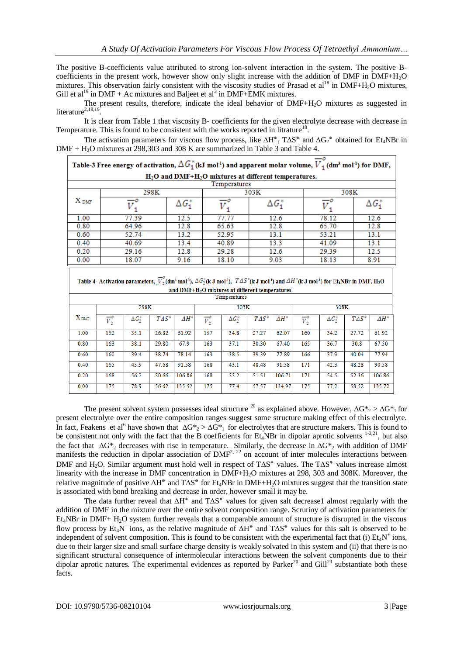The positive B-coefficients value attributed to strong ion-solvent interaction in the system. The positive Bcoefficients in the present work, however show only slight increase with the addition of DMF in DMF+H2O mixtures. This observation fairly consistent with the viscosity studies of Prasad et  $al^{18}$  in DMF+H<sub>2</sub>O mixtures, Gill et al<sup>19</sup> in DMF + Ac mixtures and Baljeet et al<sup>2</sup> in DMF+EMK mixtures.

The present results, therefore, indicate the ideal behavior of DMF+H<sub>2</sub>O mixtures as suggested in literature $^{2,18,19}$ .

It is clear from Table 1 that viscosity B- coefficients for the given electrolyte decrease with decrease in Temperature. This is found to be consistent with the works reported in litrature<sup>18</sup>.

The activation parameters for viscous flow process, like  $\Delta H^*$ ,  $T\Delta S^*$  and  $\Delta G_2^*$  obtained for Et<sub>4</sub>NBr in DMF + H<sub>2</sub>O mixtures at 298,303 and 308 K are summarized in Table 3 and Table 4.

| Table-3 Free energy of activation, $\Delta G_1^*$ (kJ mol <sup>1</sup> ) and apparent molar volume, $V_1$ (dm <sup>3</sup> mol <sup>1</sup> ) for DMF, |       |                |       |                |       |                |  |  |  |
|--------------------------------------------------------------------------------------------------------------------------------------------------------|-------|----------------|-------|----------------|-------|----------------|--|--|--|
| $H_2O$ and DMF+ $H_2O$ mixtures at different temperatures.                                                                                             |       |                |       |                |       |                |  |  |  |
| Temperatures                                                                                                                                           |       |                |       |                |       |                |  |  |  |
| ${\rm X}$ dmf                                                                                                                                          | 298K  |                |       | 303K           | 308K  |                |  |  |  |
|                                                                                                                                                        |       | $\Delta G_1^*$ |       | $\Delta G_1^*$ |       | $\Delta G_1^*$ |  |  |  |
| 1.00                                                                                                                                                   | 77.39 | 12.5           | 77.77 | 12.6           | 78.12 | 12.6           |  |  |  |
| 0.80                                                                                                                                                   | 64.96 | 12.8           | 65.63 | 12.8           | 65.70 | 12.8           |  |  |  |
| 0.60                                                                                                                                                   | 52.74 | 13.2           | 52.95 | 13.1           | 53.21 | 13.1           |  |  |  |
| 0.40                                                                                                                                                   | 40.69 | 13.4           | 40.89 | 13.3           | 41.09 | 13.1           |  |  |  |
| 0.20                                                                                                                                                   | 29.16 | 12.8           | 29.28 | 12.6           | 29.39 | 12.5           |  |  |  |
| 0.00                                                                                                                                                   | 18.07 | 9.16           | 18.10 | 9.03           | 18.13 | 8.91           |  |  |  |

| Table 4- Activation parameters, $\overline{V}_2^{\times}$ (dm <sup>3</sup> mol <sup>1</sup> ), $\Delta G_2^{\times}$ (k J mol <sup>1</sup> ), $T\Delta S^{\times}$ (k J mol <sup>1</sup> ) and $\Delta H^{\times}$ (k J mol <sup>1</sup> ) for Et <sub>4</sub> NBr in DMF, H <sub>2</sub> O |  |  |  |  |  |  |  |  |
|---------------------------------------------------------------------------------------------------------------------------------------------------------------------------------------------------------------------------------------------------------------------------------------------|--|--|--|--|--|--|--|--|
| and DME+H.O mixtures at different temperatures                                                                                                                                                                                                                                              |  |  |  |  |  |  |  |  |

| <b>Temperatures</b> |                          |                |               |        |                          |                |               |        |                          |                |               |              |
|---------------------|--------------------------|----------------|---------------|--------|--------------------------|----------------|---------------|--------|--------------------------|----------------|---------------|--------------|
|                     |                          | 298K           |               | 303K   |                          |                |               | 308K   |                          |                |               |              |
| $X_{\text{DMF}}$    | $\overline{V}_2^{\circ}$ | $\Delta G_2^*$ | $T\Delta S^*$ | $AH^*$ | $\overline{V}_2^{\circ}$ | $\Delta G_2^*$ | $T\Delta S^*$ | $AH^*$ | $\overline{v}^{\circ}_i$ | $\Delta G_2^*$ | $T\Delta S^*$ | $\Delta H^*$ |
| 1.00                | 152                      | 35.1           | 26.82         | 61.92  | 157                      | 34.8           | 27.27         | 62.07  | 160                      | 34.2           | 27.72         | 61.92        |
| 0.80                | 163                      | 38.1           | 29.80         | 67.9   | 163                      | 37.1           | 30.30         | 67.40  | 165                      | 36.7           | 30.8          | 67.50        |
| 0.60                | 160                      | 39.4           | 38.74         | 78.14  | 163                      | 38.5           | 39.39         | 77.89  | 166                      | 37.9           | 40.04         | 77.94        |
| 0.40                | 165                      | 43.9           | 47.68         | 91.58  | 168                      | 43.1           | 48.48         | 91.58  | 171                      | 42.3           | 48.28         | 90.58        |
| 0.20                | 168                      | 56.2           | 50.66         | 106.86 | 168                      | 55.2           | 51.51         | 106.71 | 171                      | 54.5           | 52.36         | 106.86       |
| 0.00                | 175                      | 78.9           | 56.62         | 135.52 | 175                      | 77.4           | 57.57         | 134.97 | 175                      | 77.2           | 58.52         | 135.72       |

The present solvent system possesses ideal structure <sup>20</sup> as explained above. However,  $\Delta G*_{2} > \Delta G*_{1}$  for present electrolyte over the entire composition ranges suggest some structure making effect of this electrolyte. In fact, Feakens et al<sup>6</sup> have shown that  $\Delta G*_{2} > \Delta G*_{1}$  for electrolytes that are structure makers. This is found to be consistent not only with the fact that the B coefficients for  $Et_4NBr$  in dipolar aprotic solvents  $1-2,21$ , but also the fact that  $\Delta G*_{2}$  decreases with rise in temperature. Similarly, the decrease in  $\Delta G*_{2}$  with addition of DMF manifests the reduction in dipolar association of  $DMF<sup>2, 22</sup>$  on account of inter molecules interactions between DMF and H<sub>2</sub>O. Similar argument must hold well in respect of  $T\Delta S^*$  values. The  $T\Delta S^*$  values increase almost linearity with the increase in DMF concentration in DMF+H2O mixtures at 298, 303 and 308K. Moreover, the relative magnitude of positive  $\Delta H^*$  and  $T\Delta S^*$  for Et<sub>4</sub>NBr in DMF+H<sub>2</sub>O mixtures suggest that the transition state is associated with bond breaking and decrease in order, however small it may be.

The data further reveal that  $\Delta H^*$  and  $T\Delta S^*$  values for given salt decrease1 almost regularly with the addition of DMF in the mixture over the entire solvent composition range. Scrutiny of activation parameters for Et4NBr in DMF+ H2O system further reveals that a comparable amount of structure is disrupted in the viscous flow process by  $Et_4N^+$  ions, as the relative magnitude of  $\Delta H^*$  and  $T\Delta S^*$  values for this salt is observed to be independent of solvent composition. This is found to be consistent with the experimental fact that (i)  $Et_4N^+$  ions, due to their larger size and small surface charge density is weakly solvated in this system and (ii) that there is no significant structural consequence of intermolecular interactions between the solvent components due to their dipolar aprotic natures. The experimental evidences as reported by Parker<sup>20</sup> and Gill<sup>23</sup> substantiate both these facts.